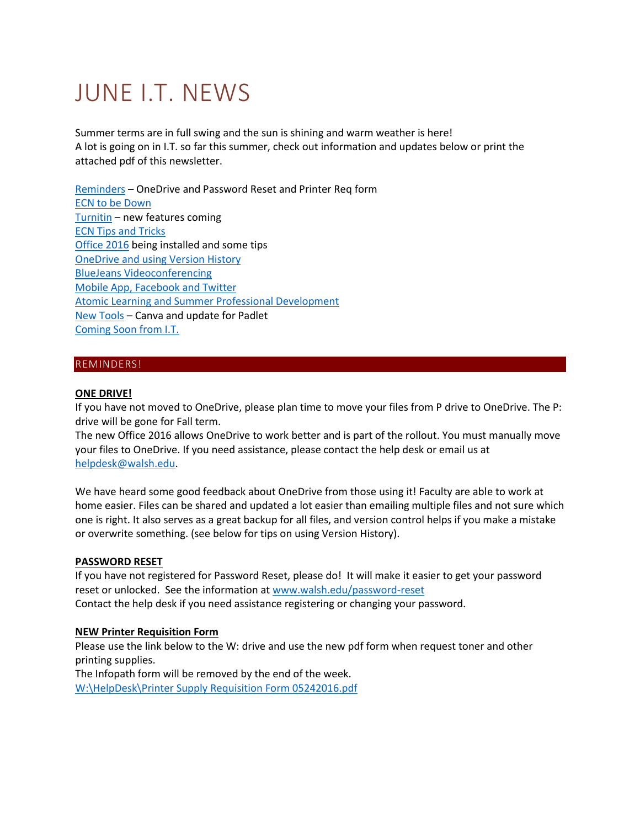# JUNE I.T. NEWS

Summer terms are in full swing and the sun is shining and warm weather is here! A lot is going on in I.T. so far this summer, check out information and updates below or print the attached pdf of this newsletter.

[Reminders](#page-0-0) – OneDrive and Password Reset and Printer Req form [ECN to be Down](#page-1-0) [Turnitin](#page-1-1) – new features coming [ECN Tips and Tricks](#page-1-2) [Office 2016](#page-1-3) being installed and some tips [OneDrive and using Version History](#page-3-0) [BlueJeans Videoconferencing](#page-4-0) [Mobile App, Facebook and Twitter](#page-5-0) [Atomic Learning and Summer Professional Development](#page-5-1) [New Tools](#page-6-0) – Canva and update for Padlet [Coming Soon from I.T.](#page-6-1)

# <span id="page-0-0"></span>REMINDERS!

## **ONE DRIVE!**

If you have not moved to OneDrive, please plan time to move your files from P drive to OneDrive. The P: drive will be gone for Fall term.

The new Office 2016 allows OneDrive to work better and is part of the rollout. You must manually move your files to OneDrive. If you need assistance, please contact the help desk or email us at [helpdesk@walsh.edu.](mailto:helpdesk@walsh.edu)

We have heard some good feedback about OneDrive from those using it! Faculty are able to work at home easier. Files can be shared and updated a lot easier than emailing multiple files and not sure which one is right. It also serves as a great backup for all files, and version control helps if you make a mistake or overwrite something. (see below for tips on using Version History).

## **PASSWORD RESET**

If you have not registered for Password Reset, please do! It will make it easier to get your password reset or unlocked. See the information at [www.walsh.edu/password-reset](http://www.walsh.edu/password-reset) Contact the help desk if you need assistance registering or changing your password.

## **NEW Printer Requisition Form**

Please use the link below to the W: drive and use the new pdf form when request toner and other printing supplies. The Infopath form will be removed by the end of the week. [W:\HelpDesk\Printer Supply Requisition Form 05242016.pdf](file://///bridget/WU/HelpDesk/Printer%20Supply%20Requisition%20Form%2005242016.pdf)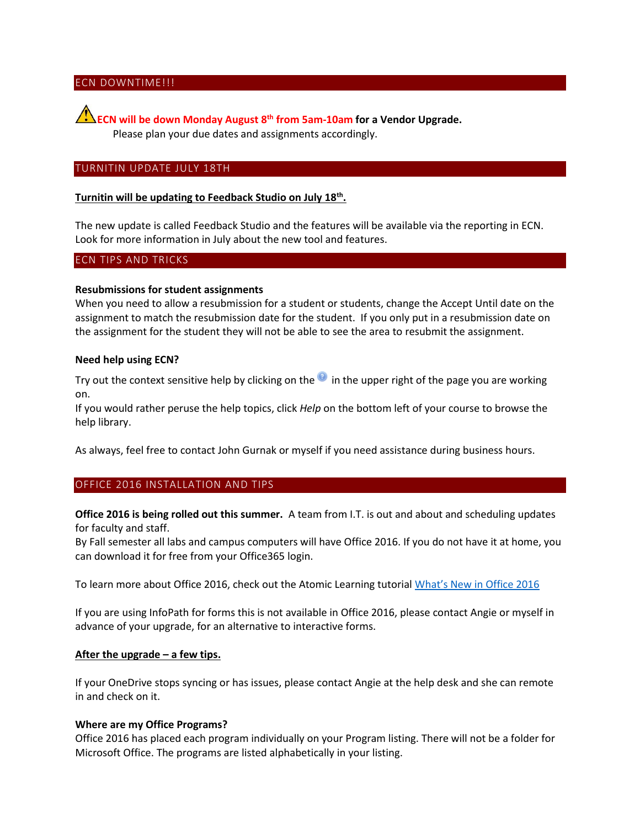# <span id="page-1-0"></span>ECN DOWNTIME!!!

**ECN will be down Monday August 8th from 5am-10am for a Vendor Upgrade.**  Please plan your due dates and assignments accordingly.

## <span id="page-1-1"></span>TURNITIN UPDATE JULY 18TH

# **Turnitin will be updating to Feedback Studio on July 18th .**

The new update is called Feedback Studio and the features will be available via the reporting in ECN. Look for more information in July about the new tool and features.

#### <span id="page-1-2"></span>ECN TIPS AND TRICKS

#### **Resubmissions for student assignments**

When you need to allow a resubmission for a student or students, change the Accept Until date on the assignment to match the resubmission date for the student. If you only put in a resubmission date on the assignment for the student they will not be able to see the area to resubmit the assignment.

#### **Need help using ECN?**

Try out the context sensitive help by clicking on the  $\bullet$  in the upper right of the page you are working on.

If you would rather peruse the help topics, click *Help* on the bottom left of your course to browse the help library.

As always, feel free to contact John Gurnak or myself if you need assistance during business hours.

## <span id="page-1-3"></span>OFFICE 2016 INSTALLATION AND TIPS

**Office 2016 is being rolled out this summer.** A team from I.T. is out and about and scheduling updates for faculty and staff.

By Fall semester all labs and campus computers will have Office 2016. If you do not have it at home, you can download it for free from your Office365 login.

To learn more about Office 2016, check out the Atomic Learning tutorial [What's New in Office 2016](https://www.atomiclearning.com/highed/new-office-2016-bigger-brains-training)

If you are using InfoPath for forms this is not available in Office 2016, please contact Angie or myself in advance of your upgrade, for an alternative to interactive forms.

#### **After the upgrade – a few tips.**

If your OneDrive stops syncing or has issues, please contact Angie at the help desk and she can remote in and check on it.

## **Where are my Office Programs?**

Office 2016 has placed each program individually on your Program listing. There will not be a folder for Microsoft Office. The programs are listed alphabetically in your listing.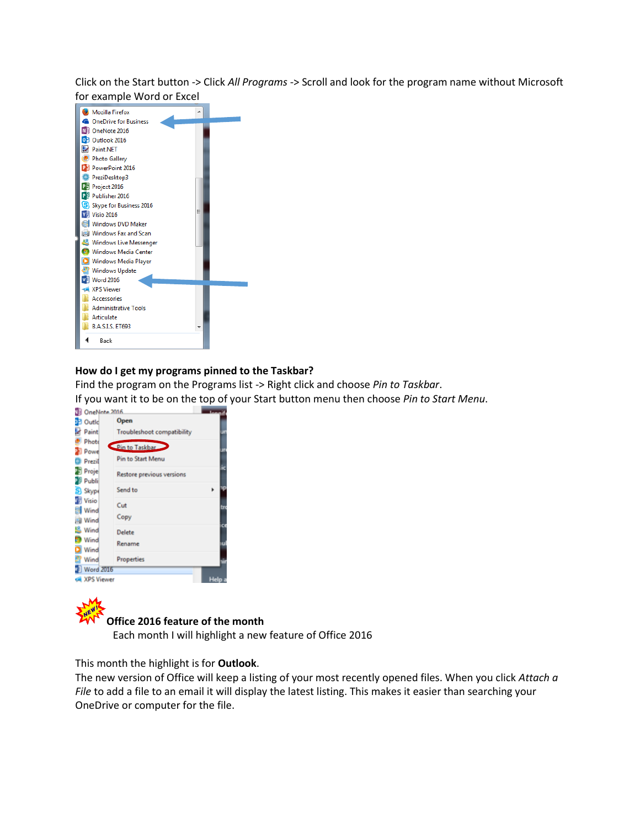Click on the Start button -> Click *All Programs* -> Scroll and look for the program name without Microsoft for example Word or Excel



## **How do I get my programs pinned to the Taskbar?**

Find the program on the Programs list -> Right click and choose *Pin to Taskbar*.

If you want it to be on the top of your Start button menu then choose *Pin to Start Menu*.

| <b>DB</b> Outle             | Open                              |    |
|-----------------------------|-----------------------------------|----|
| Paint                       | <b>Troubleshoot compatibility</b> | JT |
| Photo<br><b>B</b> Powe      | Pin to Taskbar                    | Φ  |
| Prezil                      | Pin to Start Menu                 |    |
| Proje<br><sup>2</sup> Publi | Restore previous versions         |    |
| S Skype                     | Send to                           |    |
| Visio                       | Cut                               | tг |
| Wind<br>a Wind              | Copy                              |    |
| <b>K</b> Wind               | Delete                            | ø  |
| Wind<br><b>D</b> Wind       | Rename                            |    |
| <b>P</b> Wind               | Properties                        |    |
| Word 2016                   |                                   |    |
| <b>Coll XPS Viewer</b>      |                                   |    |

#### **Office 2016 feature of the month**

Each month I will highlight a new feature of Office 2016

This month the highlight is for **Outlook**.

The new version of Office will keep a listing of your most recently opened files. When you click *Attach a File* to add a file to an email it will display the latest listing. This makes it easier than searching your OneDrive or computer for the file.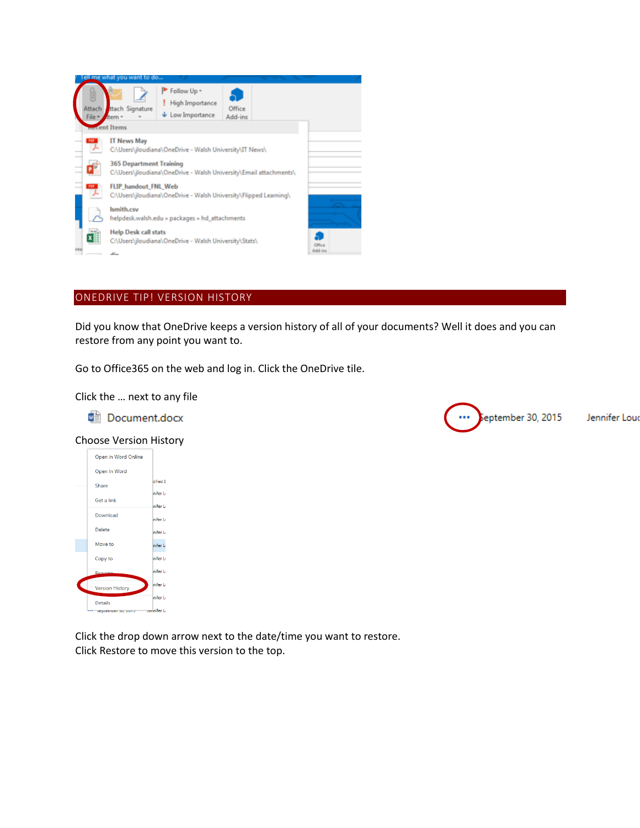

# <span id="page-3-0"></span>ONEDRIVE TIP! VERSION HISTORY

Did you know that OneDrive keeps a version history of all of your documents? Well it does and you can restore from any point you want to.

Go to Office365 on the web and log in. Click the OneDrive tile.

Click the … next to any file

**H** Document.docx

## Choose Version History



Click the drop down arrow next to the date/time you want to restore. Click Restore to move this version to the top.

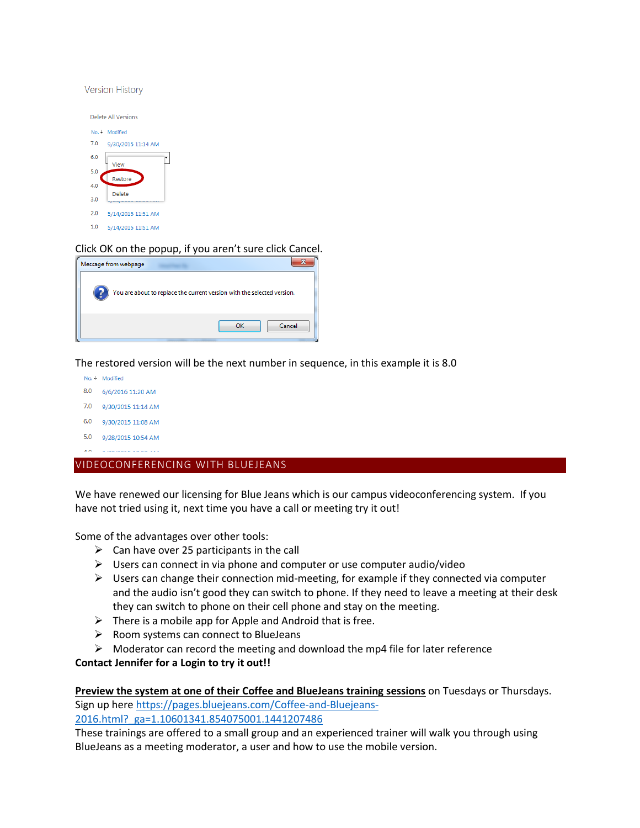**Version History** 



# Click OK on the popup, if you aren't sure click Cancel.

| Message from webpage |                                                                         |
|----------------------|-------------------------------------------------------------------------|
|                      | You are about to replace the current version with the selected version. |
|                      | Cancel<br>OK                                                            |

The restored version will be the next number in sequence, in this example it is 8.0

- No. 4 Modified
- 8.0 6/6/2016 11:20 AM
- 7.0 9/30/2015 11:14 AM
- 6.0 9/30/2015 11:08 AM
- 5.0 9/28/2015 10:54 AM
- $\overline{AB}$  and mass sales its

## <span id="page-4-0"></span>VIDEOCONFERENCING WITH BLUEJEANS

We have renewed our licensing for Blue Jeans which is our campus videoconferencing system. If you have not tried using it, next time you have a call or meeting try it out!

Some of the advantages over other tools:

- $\triangleright$  Can have over 25 participants in the call
- $\triangleright$  Users can connect in via phone and computer or use computer audio/video
- $\triangleright$  Users can change their connection mid-meeting, for example if they connected via computer and the audio isn't good they can switch to phone. If they need to leave a meeting at their desk they can switch to phone on their cell phone and stay on the meeting.
- $\triangleright$  There is a mobile app for Apple and Android that is free.
- $\triangleright$  Room systems can connect to BlueJeans
- $\triangleright$  Moderator can record the meeting and download the mp4 file for later reference

## **Contact Jennifer for a Login to try it out!!**

**Preview the system at one of their Coffee and BlueJeans training sessions** on Tuesdays or Thursdays. Sign up here [https://pages.bluejeans.com/Coffee-and-Bluejeans-](https://pages.bluejeans.com/Coffee-and-Bluejeans-2016.html?_ga=1.10601341.854075001.1441207486)[2016.html?\\_ga=1.10601341.854075001.1441207486](https://pages.bluejeans.com/Coffee-and-Bluejeans-2016.html?_ga=1.10601341.854075001.1441207486)

These trainings are offered to a small group and an experienced trainer will walk you through using BlueJeans as a meeting moderator, a user and how to use the mobile version.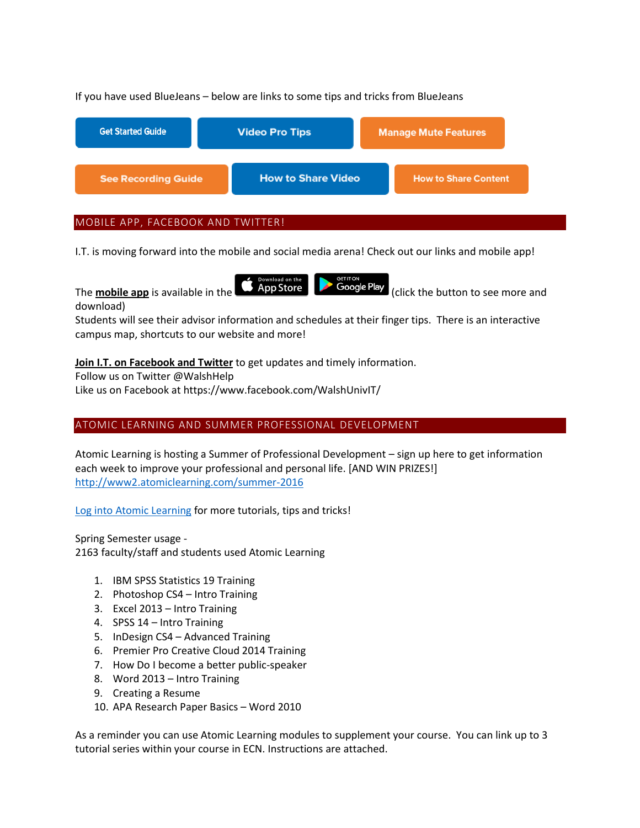# If you have used BlueJeans – below are links to some tips and tricks from BlueJeans

| <b>Get Started Guide</b>   | <b>Video Pro Tips</b>     | <b>Manage Mute Features</b> |  |
|----------------------------|---------------------------|-----------------------------|--|
| <b>See Recording Guide</b> | <b>How to Share Video</b> | <b>How to Share Content</b> |  |
|                            |                           |                             |  |

# <span id="page-5-0"></span>MOBILE APP, FACEBOOK AND TWITTER!

I.T. is moving forward into the mobile and social media arena! Check out our links and mobile app!

The **mobile app** is available in the **CAP App Store** (click the button to see more and download)

Students will see their advisor information and schedules at their finger tips. There is an interactive campus map, shortcuts to our website and more!

**Join I.T. on Facebook and Twitter** to get updates and timely information.

Follow us on Twitter @WalshHelp

Like us on Facebook at https://www.facebook.com/WalshUnivIT/

# <span id="page-5-1"></span>ATOMIC LEARNING AND SUMMER PROFESSIONAL DEVELOPMENT

Atomic Learning is hosting a Summer of Professional Development – sign up here to get information each week to improve your professional and personal life. [AND WIN PRIZES!] <http://www2.atomiclearning.com/summer-2016>

[Log into Atomic Learning](https://secure2.atomiclearning.com/sso/cas/walsh) for more tutorials, tips and tricks!

Spring Semester usage - 2163 faculty/staff and students used Atomic Learning

- 1. IBM SPSS Statistics 19 Training
- 2. Photoshop CS4 Intro Training
- 3. Excel 2013 Intro Training
- 4. SPSS 14 Intro Training
- 5. InDesign CS4 Advanced Training
- 6. Premier Pro Creative Cloud 2014 Training
- 7. How Do I become a better public-speaker
- 8. Word 2013 Intro Training
- 9. Creating a Resume
- 10. APA Research Paper Basics Word 2010

As a reminder you can use Atomic Learning modules to supplement your course. You can link up to 3 tutorial series within your course in ECN. Instructions are attached.